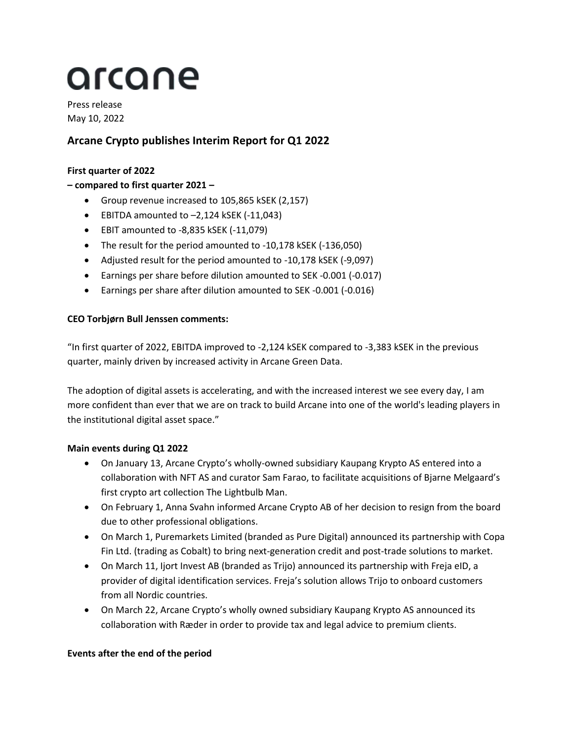# arcane

Press release May 10, 2022

# **Arcane Crypto publishes Interim Report for Q1 2022**

## **First quarter of 2022**

## **– compared to first quarter 2021 –**

- Group revenue increased to 105,865 kSEK (2,157)
- EBITDA amounted to –2,124 kSEK (-11,043)
- EBIT amounted to -8,835 kSEK (-11,079)
- The result for the period amounted to -10,178 kSEK (-136,050)
- Adjusted result for the period amounted to -10,178 kSEK (-9,097)
- Earnings per share before dilution amounted to SEK -0.001 (-0.017)
- Earnings per share after dilution amounted to SEK -0.001 (-0.016)

## **CEO Torbjørn Bull Jenssen comments:**

"In first quarter of 2022, EBITDA improved to -2,124 kSEK compared to -3,383 kSEK in the previous quarter, mainly driven by increased activity in Arcane Green Data.

The adoption of digital assets is accelerating, and with the increased interest we see every day, I am more confident than ever that we are on track to build Arcane into one of the world's leading players in the institutional digital asset space."

## **Main events during Q1 2022**

- On January 13, Arcane Crypto's wholly-owned subsidiary Kaupang Krypto AS entered into a collaboration with NFT AS and curator Sam Farao, to facilitate acquisitions of Bjarne Melgaard's first crypto art collection The Lightbulb Man.
- On February 1, Anna Svahn informed Arcane Crypto AB of her decision to resign from the board due to other professional obligations.
- On March 1, Puremarkets Limited (branded as Pure Digital) announced its partnership with Copa Fin Ltd. (trading as Cobalt) to bring next-generation credit and post-trade solutions to market.
- On March 11, Ijort Invest AB (branded as Trijo) announced its partnership with Freja eID, a provider of digital identification services. Freja's solution allows Trijo to onboard customers from all Nordic countries.
- On March 22, Arcane Crypto's wholly owned subsidiary Kaupang Krypto AS announced its collaboration with Ræder in order to provide tax and legal advice to premium clients.

#### **Events after the end of the period**